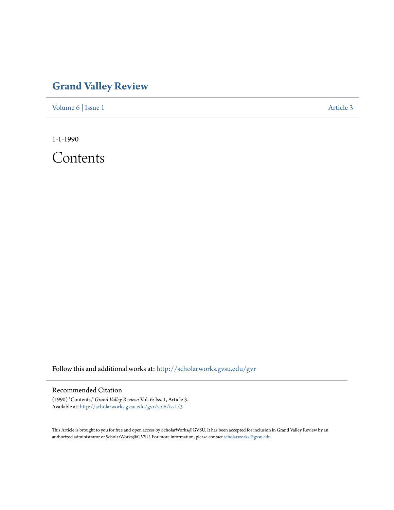## **[Grand Valley Review](http://scholarworks.gvsu.edu/gvr?utm_source=scholarworks.gvsu.edu%2Fgvr%2Fvol6%2Fiss1%2F3&utm_medium=PDF&utm_campaign=PDFCoverPages)**

[Volume 6](http://scholarworks.gvsu.edu/gvr/vol6?utm_source=scholarworks.gvsu.edu%2Fgvr%2Fvol6%2Fiss1%2F3&utm_medium=PDF&utm_campaign=PDFCoverPages) | [Issue 1](http://scholarworks.gvsu.edu/gvr/vol6/iss1?utm_source=scholarworks.gvsu.edu%2Fgvr%2Fvol6%2Fiss1%2F3&utm_medium=PDF&utm_campaign=PDFCoverPages) [Article 3](http://scholarworks.gvsu.edu/gvr/vol6/iss1/3?utm_source=scholarworks.gvsu.edu%2Fgvr%2Fvol6%2Fiss1%2F3&utm_medium=PDF&utm_campaign=PDFCoverPages)

1-1-1990

Contents

Follow this and additional works at: [http://scholarworks.gvsu.edu/gvr](http://scholarworks.gvsu.edu/gvr?utm_source=scholarworks.gvsu.edu%2Fgvr%2Fvol6%2Fiss1%2F3&utm_medium=PDF&utm_campaign=PDFCoverPages)

## Recommended Citation

(1990) "Contents," *Grand Valley Review*: Vol. 6: Iss. 1, Article 3. Available at: [http://scholarworks.gvsu.edu/gvr/vol6/iss1/3](http://scholarworks.gvsu.edu/gvr/vol6/iss1/3?utm_source=scholarworks.gvsu.edu%2Fgvr%2Fvol6%2Fiss1%2F3&utm_medium=PDF&utm_campaign=PDFCoverPages)

This Article is brought to you for free and open access by ScholarWorks@GVSU. It has been accepted for inclusion in Grand Valley Review by an authorized administrator of ScholarWorks@GVSU. For more information, please contact [scholarworks@gvsu.edu.](mailto:scholarworks@gvsu.edu)